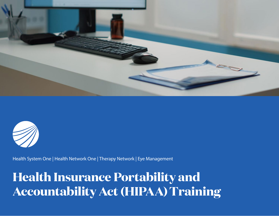



Health System One | Health Network One | Therapy Network | Eye Management

## **Health Insurance Portability and Accountability Act (HIPAA)Training**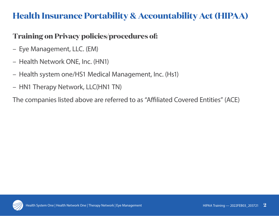## **Health Insurance Portability & Accountability Act (HIPAA)**

#### **Training on Privacy policies/procedures of:**

- Eye Management, LLC. (EM)
- Health Network ONE, Inc. (HN1)
- Health system one/HS1 Medical Management, Inc. (Hs1)
- HN1 Therapy Network, LLC(HN1 TN)

The companies listed above are referred to as "Affiliated Covered Entities" (ACE)

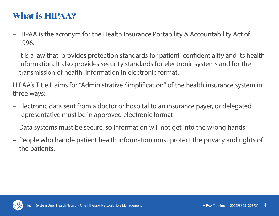#### **What is HIPAA?**

- HIPAA is the acronym for the Health Insurance Portability & Accountability Act of 1996.
- It is a law that provides protection standards for patient confidentiality and its health information. It also provides security standards for electronic systems and for the transmission of health information in electronic format.

HIPAA's Title II aims for "Administrative Simplification" of the health insurance system in three ways:

- Electronic data sent from a doctor or hospital to an insurance payer, or delegated representative must be in approved electronic format
- Data systems must be secure, so information will not get into the wrong hands
- People who handle patient health information must protect the privacy and rights of the patients.

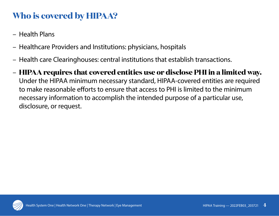## **Who is covered by HIPAA?**

- Health Plans
- Healthcare Providers and Institutions: physicians, hospitals
- Health care Clearinghouses: central institutions that establish transactions.
- **HIPAA requires that covered entities use or disclose PHI in a limited way.** Under the HIPAA minimum necessary standard, HIPAA-covered entities are required to make reasonable efforts to ensure that access to PHI is limited to the minimum necessary information to accomplish the intended purpose of a particular use, disclosure, or request.

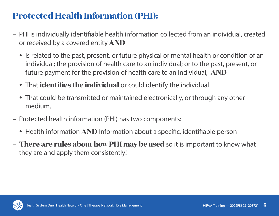## **Protected Health Information (PHI):**

- PHI is individually identifiable health information collected from an individual, created or received by a covered entity **AND**
	- Is related to the past, present, or future physical or mental health or condition of an individual; the provision of health care to an individual; or to the past, present, or future payment for the provision of health care to an individual; **AND**
	- That **identifies the individual** or could identify the individual.
	- That could be transmitted or maintained electronically, or through any other medium.
- Protected health information (PHI) has two components:
	- Health information **AND** Information about a specific, identifiable person
- **There are rules about how PHI may be used** so it is important to know what they are and apply them consistently!

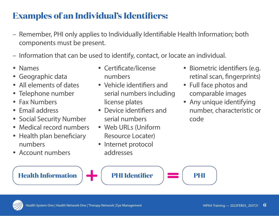## **Examples of an Individual's Identifiers:**

- Remember, PHI only applies to Individually Identifiable Health Information; both components must be present.
- Information that can be used to identify, contact, or locate an individual.
- Names
- Geographic data
- All elements of dates
- Telephone number
- Fax Numbers
- Email address
- Social Security Number
- Medical record numbers
- Health plan beneficiary numbers
- Account numbers
- Certificate/license numbers
- Vehicle identifiers and serial numbers including license plates
- Device identifiers and serial numbers
- Web URLs (Uniform Resource Locater)
- Internet protocol addresses
- Biometric identifiers (e.g. retinal scan, fingerprints)
- Full face photos and comparable images
- Any unique identifying number, characteristic or code

**Health Information PHI Identifier PHI**

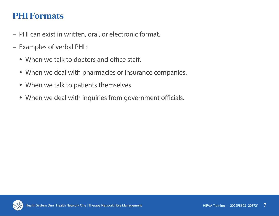#### **PHI Formats**

- PHI can exist in written, oral, or electronic format.
- Examples of verbal PHI :
	- When we talk to doctors and office staff.
	- When we deal with pharmacies or insurance companies.
	- When we talk to patients themselves.
	- When we deal with inquiries from government officials.

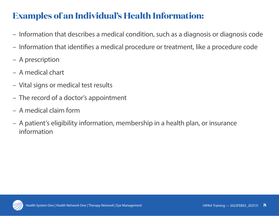## **Examples of an Individual's Health Information:**

- Information that describes a medical condition, such as a diagnosis or diagnosis code
- Information that identifies a medical procedure or treatment, like a procedure code
- A prescription
- A medical chart
- Vital signs or medical test results
- The record of a doctor's appointment
- A medical claim form
- A patient's eligibility information, membership in a health plan, or insurance information

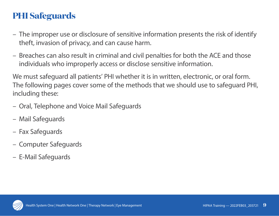## **PHI Safeguards**

- The improper use or disclosure of sensitive information presents the risk of identify theft, invasion of privacy, and can cause harm.
- Breaches can also result in criminal and civil penalties for both the ACE and those individuals who improperly access or disclose sensitive information.

We must safeguard all patients' PHI whether it is in written, electronic, or oral form. The following pages cover some of the methods that we should use to safeguard PHI, including these:

- Oral, Telephone and Voice Mail Safeguards
- Mail Safeguards
- Fax Safeguards
- Computer Safeguards
- E-Mail Safeguards

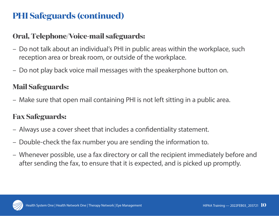#### **Oral, Telephone/Voice-mail safeguards:**

- Do not talk about an individual's PHI in public areas within the workplace, such reception area or break room, or outside of the workplace.
- Do not play back voice mail messages with the speakerphone button on.

#### **Mail Safeguards:**

– Make sure that open mail containing PHI is not left sitting in a public area.

#### **Fax Safeguards:**

- Always use a cover sheet that includes a confidentiality statement.
- Double-check the fax number you are sending the information to.
- Whenever possible, use a fax directory or call the recipient immediately before and after sending the fax, to ensure that it is expected, and is picked up promptly.

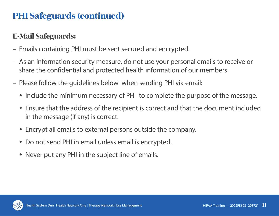#### **E-Mail Safeguards:**

- Emails containing PHI must be sent secured and encrypted.
- As an information security measure, do not use your personal emails to receive or share the confidential and protected health information of our members.
- Please follow the guidelines below when sending PHI via email:
	- Include the minimum necessary of PHI to complete the purpose of the message.
	- Ensure that the address of the recipient is correct and that the document included in the message (if any) is correct.
	- Encrypt all emails to external persons outside the company.
	- Do not send PHI in email unless email is encrypted.
	- Never put any PHI in the subject line of emails.

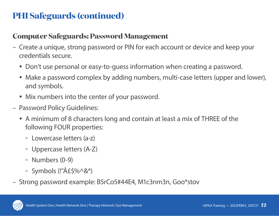#### **Computer Safeguards: Password Management**

- Create a unique, strong password or PIN for each account or device and keep your credentials secure.
	- Don't use personal or easy-to-guess information when creating a password.
	- Make a password complex by adding numbers, multi-case letters (upper and lower), and symbols.
	- Mix numbers into the center of your password.
- Password Policy Guidelines:
	- A minimum of 8 characters long and contain at least a mix of THREE of the following FOUR properties:
		- Lowercase letters (a-z)
		- Uppercase letters (A-Z)
		- Numbers (0-9)
		- $\circ$  Symbols (!" $\hat{A}E\hat{S}\% \hat{S}\hat{S}^*$ )
- Strong password example: B5rCo5#44E4, M1c3nm3n, Goo\*stov

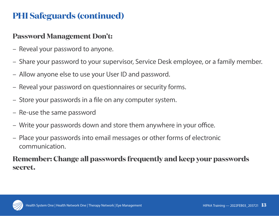#### **Password Management Don't:**

- Reveal your password to anyone.
- Share your password to your supervisor, Service Desk employee, or a family member.
- Allow anyone else to use your User ID and password.
- Reveal your password on questionnaires or security forms.
- Store your passwords in a file on any computer system.
- Re-use the same password
- Write your passwords down and store them anywhere in your office.
- Place your passwords into email messages or other forms of electronic communication.

#### **Remember: Change all passwords frequently and keep your passwords secret.**

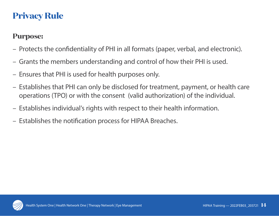## **Privacy Rule**

#### **Purpose:**

- Protects the confidentiality of PHI in all formats (paper, verbal, and electronic).
- Grants the members understanding and control of how their PHI is used.
- Ensures that PHI is used for health purposes only.
- Establishes that PHI can only be disclosed for treatment, payment, or health care operations (TPO) or with the consent (valid authorization) of the individual.
- Establishes individual's rights with respect to their health information.
- Establishes the notification process for HIPAA Breaches.

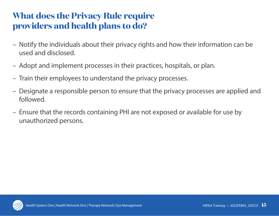## **What does the Privacy Rule require providers and health plans to do?**

- Notify the individuals about their privacy rights and how their information can be used and disclosed.
- Adopt and implement processes in their practices, hospitals, or plan.
- Train their employees to understand the privacy processes.
- Designate a responsible person to ensure that the privacy processes are applied and followed.
- Ensure that the records containing PHI are not exposed or available for use by unauthorized persons.

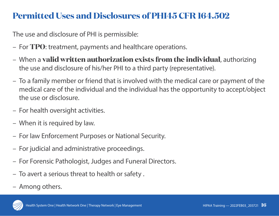## **Permitted Uses and Disclosures of PHI45 CFR 164.502**

The use and disclosure of PHI is permissible:

- For **TPO**: treatment, payments and healthcare operations.
- When a **valid written authorization exists from the individual**, authorizing the use and disclosure of his/her PHI to a third party (representative).
- To a family member or friend that is involved with the medical care or payment of the medical care of the individual and the individual has the opportunity to accept/object the use or disclosure.
- For health oversight activities.
- When it is required by law.
- For law Enforcement Purposes or National Security.
- For judicial and administrative proceedings.
- For Forensic Pathologist, Judges and Funeral Directors.
- To avert a serious threat to health or safety .
- Among others.

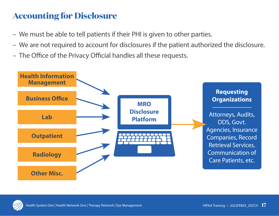## **Accounting for Disclosure**

- We must be able to tell patients if their PHI is given to other parties.
- We are not required to account for disclosures if the patient authorized the disclosure.
- The Office of the Privacy Official handles all these requests.



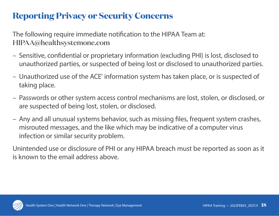## **Reporting Privacy or Security Concerns**

The following require immediate notification to the HIPAA Team at: HIPAA@healthsystemone.com

- Sensitive, confidential or proprietary information (excluding PHI) is lost, disclosed to unauthorized parties, or suspected of being lost or disclosed to unauthorized parties.
- Unauthorized use of the ACE' information system has taken place, or is suspected of taking place.
- Passwords or other system access control mechanisms are lost, stolen, or disclosed, or are suspected of being lost, stolen, or disclosed.
- Any and all unusual systems behavior, such as missing files, frequent system crashes, misrouted messages, and the like which may be indicative of a computer virus infection or similar security problem.

Unintended use or disclosure of PHI or any HIPAA breach must be reported as soon as it is known to the email address above.

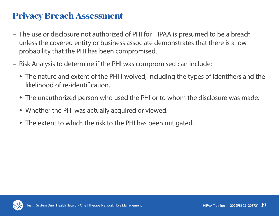#### **Privacy Breach Assessment**

- The use or disclosure not authorized of PHI for HIPAA is presumed to be a breach unless the covered entity or business associate demonstrates that there is a low probability that the PHI has been compromised.
- Risk Analysis to determine if the PHI was compromised can include:
	- The nature and extent of the PHI involved, including the types of identifiers and the likelihood of re-identification.
	- The unauthorized person who used the PHI or to whom the disclosure was made.
	- Whether the PHI was actually acquired or viewed.
	- The extent to which the risk to the PHI has been mitigated.

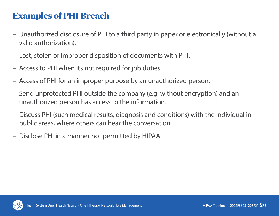## **Examples of PHI Breach**

- Unauthorized disclosure of PHI to a third party in paper or electronically (without a valid authorization).
- Lost, stolen or improper disposition of documents with PHI.
- Access to PHI when its not required for job duties.
- Access of PHI for an improper purpose by an unauthorized person.
- Send unprotected PHI outside the company (e.g. without encryption) and an unauthorized person has access to the information.
- Discuss PHI (such medical results, diagnosis and conditions) with the individual in public areas, where others can hear the conversation.
- Disclose PHI in a manner not permitted by HIPAA.

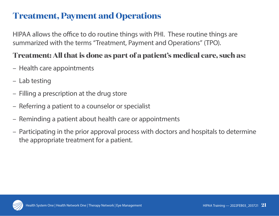#### **Treatment, Payment and Operations**

HIPAA allows the office to do routine things with PHI. These routine things are summarized with the terms "Treatment, Payment and Operations" (TPO).

#### **Treatment: All that is done as part of a patient's medical care, such as:**

- Health care appointments
- Lab testing
- Filling a prescription at the drug store
- Referring a patient to a counselor or specialist
- Reminding a patient about health care or appointments
- Participating in the prior approval process with doctors and hospitals to determine the appropriate treatment for a patient.

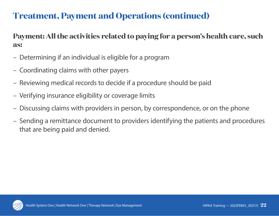## **Treatment, Payment and Operations (continued)**

**Payment: All the activities related to paying for a person's health care, such as:**

- Determining if an individual is eligible for a program
- Coordinating claims with other payers
- Reviewing medical records to decide if a procedure should be paid
- Verifying insurance eligibility or coverage limits
- Discussing claims with providers in person, by correspondence, or on the phone
- Sending a remittance document to providers identifying the patients and procedures that are being paid and denied.

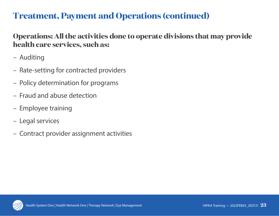#### **Treatment, Payment and Operations (continued)**

#### **Operations: All the activities done to operate divisions that may provide health care services, such as:**

- Auditing
- Rate-setting for contracted providers
- Policy determination for programs
- Fraud and abuse detection
- Employee training
- Legal services
- Contract provider assignment activities

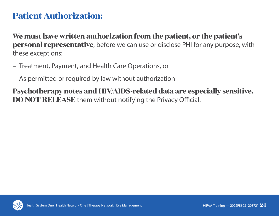#### **Patient Authorization:**

**We must have written authorization from the patient, or the patient's personal representative**, before we can use or disclose PHI for any purpose, with these exceptions:

- Treatment, Payment, and Health Care Operations, or
- As permitted or required by law without authorization

**Psychotherapy notes and HIV/AIDS-related data are especially sensitive. DO NOT RELEASE** them without notifying the Privacy Official.

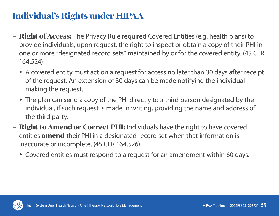## **Individual's Rights under HIPAA**

- **Right of Access:** The Privacy Rule required Covered Entities (e.g. health plans) to provide individuals, upon request, the right to inspect or obtain a copy of their PHI in one or more "designated record sets" maintained by or for the covered entity. (45 CFR 164.524)
	- A covered entity must act on a request for access no later than 30 days after receipt of the request. An extension of 30 days can be made notifying the individual making the request.
	- The plan can send a copy of the PHI directly to a third person designated by the individual, if such request is made in writing, providing the name and address of the third party.
- **Right to Amend or Correct PHI:** Individuals have the right to have covered entities **amend** their PHI in a designated record set when that information is inaccurate or incomplete. (45 CFR 164.526)
	- Covered entities must respond to a request for an amendment within 60 days.

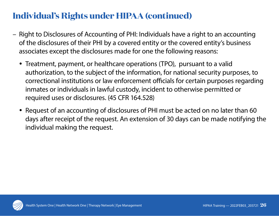## **Individual's Rights under HIPAA (continued)**

- Right to Disclosures of Accounting of PHI: Individuals have a right to an accounting of the disclosures of their PHI by a covered entity or the covered entity's business associates except the disclosures made for one the following reasons:
	- Treatment, payment, or healthcare operations (TPO), pursuant to a valid authorization, to the subject of the information, for national security purposes, to correctional institutions or law enforcement officials for certain purposes regarding inmates or individuals in lawful custody, incident to otherwise permitted or required uses or disclosures. (45 CFR 164.528)
	- Request of an accounting of disclosures of PHI must be acted on no later than 60 days after receipt of the request. An extension of 30 days can be made notifying the individual making the request.

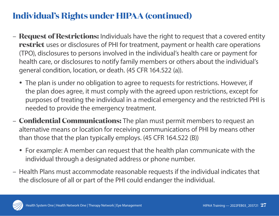## **Individual's Rights under HIPAA (continued)**

- **Request of Restrictions:** Individuals have the right to request that a covered entity **restrict** uses or disclosures of PHI for treatment, payment or health care operations (TPO), disclosures to persons involved in the individual's health care or payment for health care, or disclosures to notify family members or others about the individual's general condition, location, or death. (45 CFR 164.522 (a)).
	- The plan is under no obligation to agree to requests for restrictions. However, if the plan does agree, it must comply with the agreed upon restrictions, except for purposes of treating the individual in a medical emergency and the restricted PHI is needed to provide the emergency treatment.
- **Confidential Communications:** The plan must permit members to request an alternative means or location for receiving communications of PHI by means other than those that the plan typically employs. (45 CFR 164.522 (B))
	- For example: A member can request that the health plan communicate with the individual through a designated address or phone number.
- Health Plans must accommodate reasonable requests if the individual indicates that the disclosure of all or part of the PHI could endanger the individual.

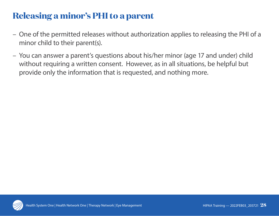## **Releasing a minor's PHI to a parent**

- One of the permitted releases without authorization applies to releasing the PHI of a minor child to their parent(s).
- You can answer a parent's questions about his/her minor (age 17 and under) child without requiring a written consent. However, as in all situations, be helpful but provide only the information that is requested, and nothing more.

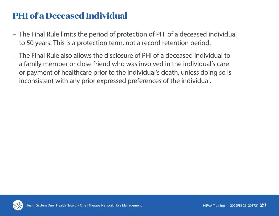## **PHI of a Deceased Individual**

- The Final Rule limits the period of protection of PHI of a deceased individual to 50 years. This is a protection term, not a record retention period.
- The Final Rule also allows the disclosure of PHI of a deceased individual to a family member or close friend who was involved in the individual's care or payment of healthcare prior to the individual's death, unless doing so is inconsistent with any prior expressed preferences of the individual.

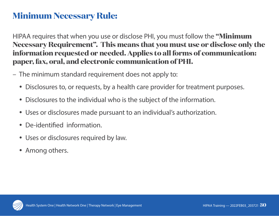#### **Minimum Necessary Rule:**

HIPAA requires that when you use or disclose PHI, you must follow the **"Minimum Necessary Requirement". This means that you must use or disclose only the information requested or needed. Applies to all forms of communication: paper, fax, oral, and electronic communication of PHI.**

- The minimum standard requirement does not apply to:
	- Disclosures to, or requests, by a health care provider for treatment purposes.
	- Disclosures to the individual who is the subject of the information.
	- Uses or disclosures made pursuant to an individual's authorization.
	- De-identified information.
	- Uses or disclosures required by law.
	- Among others.

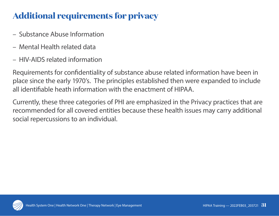## **Additional requirements for privacy**

- Substance Abuse Information
- Mental Health related data
- HIV-AIDS related information

Requirements for confidentiality of substance abuse related information have been in place since the early 1970's. The principles established then were expanded to include all identifiable heath information with the enactment of HIPAA.

Currently, these three categories of PHI are emphasized in the Privacy practices that are recommended for all covered entities because these health issues may carry additional social repercussions to an individual.

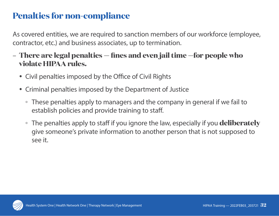## **Penalties for non-compliance**

As covered entities, we are required to sanction members of our workforce (employee, contractor, etc.) and business associates, up to termination.

- **There are legal penalties fines and even jail time —for people who violate HIPAA rules.** 
	- Civil penalties imposed by the Office of Civil Rights
	- Criminal penalties imposed by the Department of Justice
		- These penalties apply to managers and the company in general if we fail to establish policies and provide training to staff.
		- The penalties apply to staff if you ignore the law, especially if you **deliberately** give someone's private information to another person that is not supposed to see it.

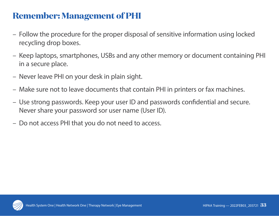#### **Remember: Management of PHI**

- Follow the procedure for the proper disposal of sensitive information using locked recycling drop boxes.
- Keep laptops, smartphones, USBs and any other memory or document containing PHI in a secure place.
- Never leave PHI on your desk in plain sight.
- Make sure not to leave documents that contain PHI in printers or fax machines.
- Use strong passwords. Keep your user ID and passwords confidential and secure. Never share your password sor user name (User ID).
- Do not access PHI that you do not need to access.

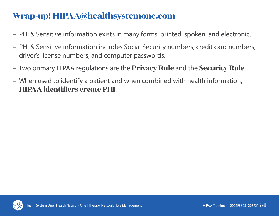## **Wrap-up! HIPAA@healthsystemone.com**

- PHI & Sensitive information exists in many forms: printed, spoken, and electronic.
- PHI & Sensitive information includes Social Security numbers, credit card numbers, driver's license numbers, and computer passwords.
- Two primary HIPAA regulations are the **Privacy Rule** and the **Security Rule**.
- When used to identify a patient and when combined with health information, **HIPAA identifiers create PHI**.